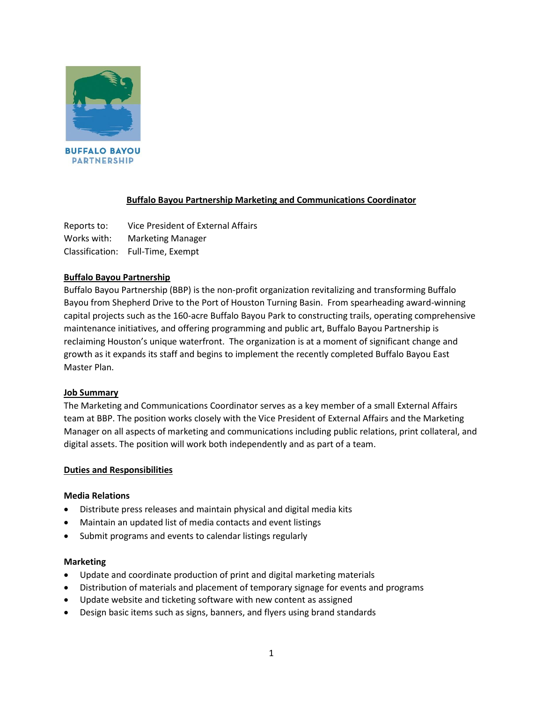

# **Buffalo Bayou Partnership Marketing and Communications Coordinator**

Reports to: Vice President of External Affairs Works with: Marketing Manager Classification: Full-Time, Exempt

# **Buffalo Bayou Partnership**

Buffalo Bayou Partnership (BBP) is the non-profit organization revitalizing and transforming Buffalo Bayou from Shepherd Drive to the Port of Houston Turning Basin. From spearheading award-winning capital projects such as the 160-acre Buffalo Bayou Park to constructing trails, operating comprehensive maintenance initiatives, and offering programming and public art, Buffalo Bayou Partnership is reclaiming Houston's unique waterfront. The organization is at a moment of significant change and growth as it expands its staff and begins to implement the recently completed Buffalo Bayou East Master Plan.

# **Job Summary**

The Marketing and Communications Coordinator serves as a key member of a small External Affairs team at BBP. The position works closely with the Vice President of External Affairs and the Marketing Manager on all aspects of marketing and communications including public relations, print collateral, and digital assets. The position will work both independently and as part of a team.

# **Duties and Responsibilities**

# **Media Relations**

- Distribute press releases and maintain physical and digital media kits
- Maintain an updated list of media contacts and event listings
- Submit programs and events to calendar listings regularly

#### **Marketing**

- Update and coordinate production of print and digital marketing materials
- Distribution of materials and placement of temporary signage for events and programs
- Update website and ticketing software with new content as assigned
- Design basic items such as signs, banners, and flyers using brand standards